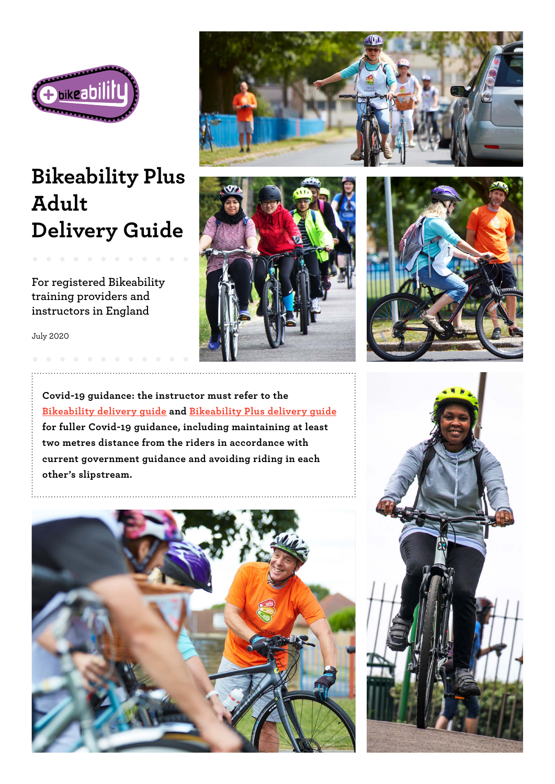

# **Bikeability Plus Adult Delivery Guide**

**For registered Bikeability training providers and instructors in England**

July 2020

**Covid-19 guidance: the instructor must refer to the [Bikeability delivery guide](https://professionals.bikeability.org.uk/download/8692/) and [Bikeability Plus delivery guide](https://professionals.bikeability.org.uk/download/8689/) for fuller Covid-19 guidance, including maintaining at least two metres distance from the riders in accordance with current government guidance and avoiding riding in each other's slipstream.**









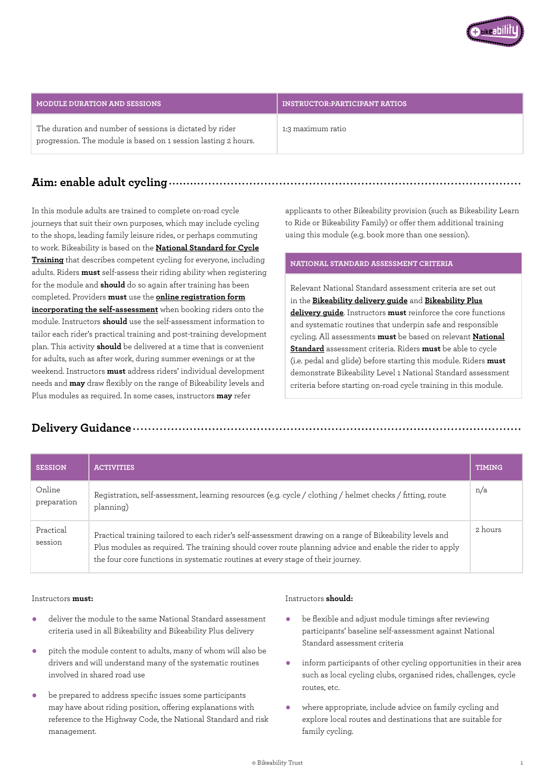

## **MODULE DURATION AND SESSIONS AND SESSIONS AND RESOLUTION CONSTRUCTOR:PARTICIPANT RATIOS**

The duration and number of sessions is dictated by rider progression. The module is based on 1 session lasting 2 hours.

1:3 maximum ratio

## **Aim: enable adult cycling**

In this module adults are trained to complete on-road cycle journeys that suit their own purposes, which may include cycling to the shops, leading family leisure rides, or perhaps commuting to work. Bikeability is based on the **[National Standard for Cycle](https://www.gov.uk/government/publications/national-standard-for-cycle-training) [Training](https://www.gov.uk/government/publications/national-standard-for-cycle-training)** that describes competent cycling for everyone, including adults. Riders **must** self-assess their riding ability when registering for the module and **should** do so again after training has been completed. Providers **must** use the **[online registration form](https://bikeability460862.typeform.com/to/OlGWaEOF) [incorporating the self-assessment](https://bikeability460862.typeform.com/to/OlGWaEOF)** when booking riders onto the module. Instructors **should** use the self-assessment information to tailor each rider's practical training and post-training development plan. This activity **should** be delivered at a time that is convenient for adults, such as after work, during summer evenings or at the weekend. Instructors **must** address riders' individual development needs and **may** draw flexibly on the range of Bikeability levels and Plus modules as required. In some cases, instructors **may** refer

applicants to other Bikeability provision (such as Bikeability Learn to Ride or Bikeability Family) or offer them additional training using this module (e.g. book more than one session).

## **NATIONAL STANDARD ASSESSMENT CRITERIA**

Relevant National Standard assessment criteria are set out in the **[Bikeability delivery guide](https://professionals.bikeability.org.uk/download/8692/)** and **[Bikeability Plus](https://professionals.bikeability.org.uk/download/8689/) [delivery guide](https://professionals.bikeability.org.uk/download/8689/)**. Instructors **must** reinforce the core functions and systematic routines that underpin safe and responsible cycling. All assessments **must** be based on relevant **[National](https://www.gov.uk/government/publications/national-standard-for-cycle-training) [Standard](https://www.gov.uk/government/publications/national-standard-for-cycle-training)** assessment criteria. Riders **must** be able to cycle (i.e. pedal and glide) before starting this module. Riders **must** demonstrate Bikeability Level 1 National Standard assessment criteria before starting on-road cycle training in this module.

## **Delivery Guidance**

| <b>SESSION</b>        | <b>ACTIVITIES</b>                                                                                                                                                                                                                                                                                      | <b>TIMING</b> |
|-----------------------|--------------------------------------------------------------------------------------------------------------------------------------------------------------------------------------------------------------------------------------------------------------------------------------------------------|---------------|
| Online<br>preparation | Registration, self-assessment, learning resources (e.g. cycle / clothing / helmet checks / fitting, route<br>planning)                                                                                                                                                                                 | n/a           |
| Practical<br>session  | Practical training tailored to each rider's self-assessment drawing on a range of Bikeability levels and<br>Plus modules as required. The training should cover route planning advice and enable the rider to apply<br>the four core functions in systematic routines at every stage of their journey. | 2 hours       |

## Instructors **must:**

- deliver the module to the same National Standard assessment criteria used in all Bikeability and Bikeability Plus delivery
- pitch the module content to adults, many of whom will also be drivers and will understand many of the systematic routines involved in shared road use
- be prepared to address specific issues some participants may have about riding position, offering explanations with reference to the Highway Code, the National Standard and risk management.

### Instructors **should:**

- be flexible and adjust module timings after reviewing participants' baseline self-assessment against National Standard assessment criteria
- inform participants of other cycling opportunities in their area such as local cycling clubs, organised rides, challenges, cycle routes, etc.
- where appropriate, include advice on family cycling and explore local routes and destinations that are suitable for family cycling.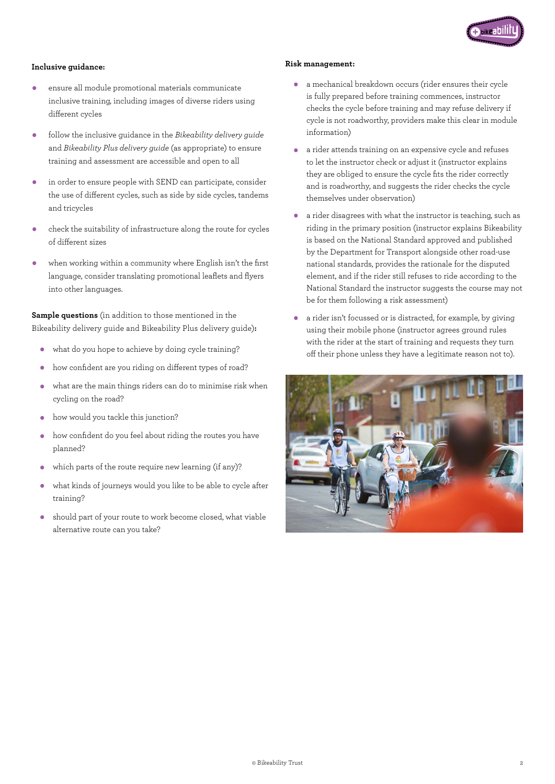

## **Inclusive guidance:**

- ensure all module promotional materials communicate inclusive training, including images of diverse riders using different cycles
- follow the inclusive guidance in the *Bikeability delivery guide*  and *Bikeability Plus delivery guide* (as appropriate) to ensure training and assessment are accessible and open to all
- in order to ensure people with SEND can participate, consider the use of different cycles, such as side by side cycles, tandems and tricycles
- check the suitability of infrastructure along the route for cycles of different sizes
- when working within a community where English isn't the first language, consider translating promotional leaflets and flyers into other languages.

**Sample questions** (in addition to those mentioned in the Bikeability delivery guide and Bikeability Plus delivery guide)**:** 

- what do you hope to achieve by doing cycle training?
- how confident are you riding on different types of road?
- what are the main things riders can do to minimise risk when cycling on the road?
- how would you tackle this junction?
- how confident do you feel about riding the routes you have planned?
- which parts of the route require new learning (if any)?
- what kinds of journeys would you like to be able to cycle after training?
- should part of your route to work become closed, what viable alternative route can you take?

## **Risk management:**

- a mechanical breakdown occurs (rider ensures their cycle is fully prepared before training commences, instructor checks the cycle before training and may refuse delivery if cycle is not roadworthy, providers make this clear in module information)
- a rider attends training on an expensive cycle and refuses to let the instructor check or adjust it (instructor explains they are obliged to ensure the cycle fits the rider correctly and is roadworthy, and suggests the rider checks the cycle themselves under observation)
- a rider disagrees with what the instructor is teaching, such as riding in the primary position (instructor explains Bikeability is based on the National Standard approved and published by the Department for Transport alongside other road-use national standards, provides the rationale for the disputed element, and if the rider still refuses to ride according to the National Standard the instructor suggests the course may not be for them following a risk assessment)
- a rider isn't focussed or is distracted, for example, by giving using their mobile phone (instructor agrees ground rules with the rider at the start of training and requests they turn off their phone unless they have a legitimate reason not to).